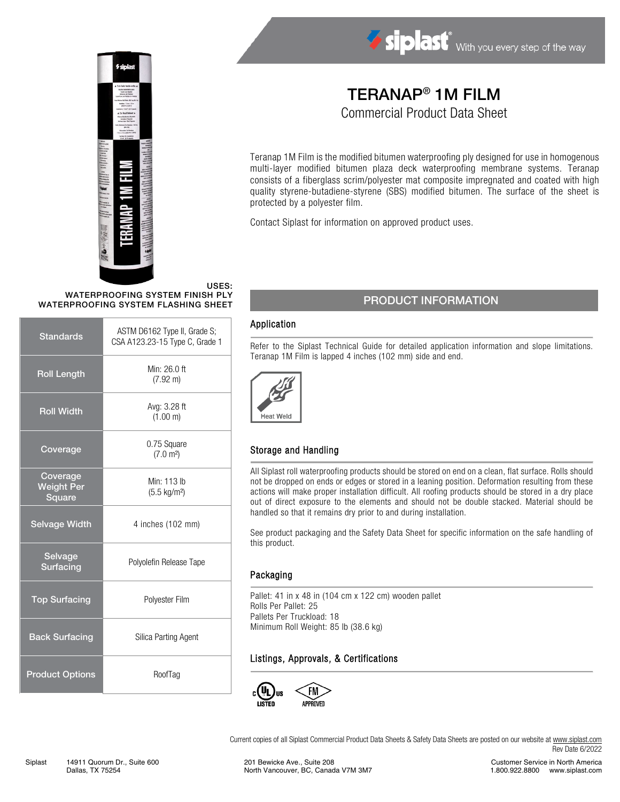



# TERANAP® 1M FILM

Commercial Product Data Sheet

Teranap 1M Film is the modified bitumen waterproofing ply designed for use in homogenous multi-layer modified bitumen plaza deck waterproofing membrane systems. Teranap consists of a fiberglass scrim/polyester mat composite impregnated and coated with high quality styrene-butadiene-styrene (SBS) modified bitumen. The surface of the sheet is protected by a polyester film.

Contact Siplast for information on approved product uses.

#### USES: WATERPROOFING SYSTEM FINISH PLY WATERPROOFING SYSTEM FLASHING SHEET

| <b>Standards</b>                        | ASTM D6162 Type II, Grade S;<br>CSA A123.23-15 Type C, Grade 1 |  |
|-----------------------------------------|----------------------------------------------------------------|--|
| <b>Roll Length</b>                      | Min: 26.0 ft<br>$(7.92 \text{ m})$                             |  |
| <b>Roll Width</b>                       | Avg: 3.28 ft<br>(1.00 m)                                       |  |
| Coverage                                | 0.75 Square<br>(7.0 m <sup>2</sup> )                           |  |
| Coverage<br><b>Weight Per</b><br>Square | Min: 113 lb<br>$(5.5 \text{ kg/m}^2)$                          |  |
| <b>Selvage Width</b>                    | 4 inches (102 mm)                                              |  |
| Selvage<br>Surfacing                    | Polyolefin Release Tape                                        |  |
| <b>Top Surfacing</b>                    | Polyester Film                                                 |  |
| <b>Back Surfacing</b>                   | Silica Parting Agent                                           |  |
| <b>Product Options</b>                  | RoofTag                                                        |  |

### PRODUCT INFORMATION

#### Application

Refer to the Siplast Technical Guide for detailed application information and slope limitations. Teranap 1M Film is lapped 4 inches (102 mm) side and end.



#### Storage and Handling

All Siplast roll waterproofing products should be stored on end on a clean, flat surface. Rolls should not be dropped on ends or edges or stored in a leaning position. Deformation resulting from these actions will make proper installation difficult. All roofing products should be stored in a dry place out of direct exposure to the elements and should not be double stacked. Material should be handled so that it remains dry prior to and during installation.

See product packaging and the Safety Data Sheet for specific information on the safe handling of this product.

#### Packaging

Pallet: 41 in x 48 in (104 cm x 122 cm) wooden pallet Rolls Per Pallet: 25 Pallets Per Truckload: 18 Minimum Roll Weight: 85 lb (38.6 kg)

#### Listings, Approvals, & Certifications



Current copies of all Siplast Commercial Product Data Sheets & Safety Data Sheets are posted on our website a[t www.siplast.com](http://www.siplast.com/) Rev Date 6/2022